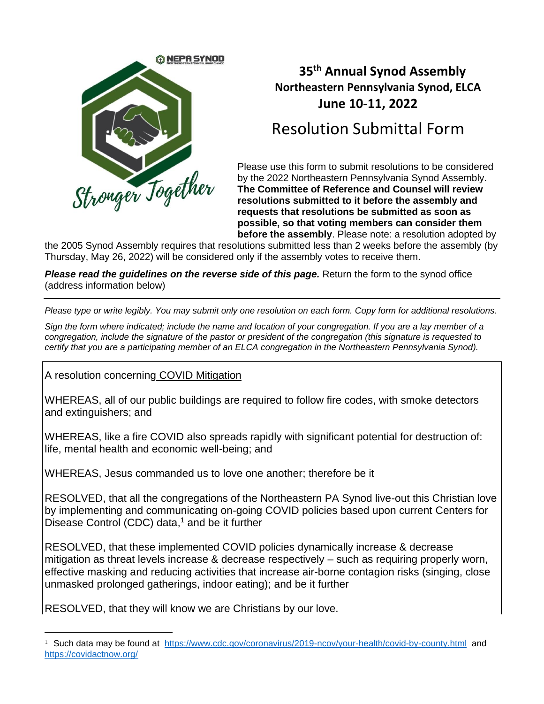

## **35 th Annual Synod Assembly Northeastern Pennsylvania Synod, ELCA June 10-11, 2022**

## Resolution Submittal Form

Please use this form to submit resolutions to be considered by the 2022 Northeastern Pennsylvania Synod Assembly. **The Committee of Reference and Counsel will review resolutions submitted to it before the assembly and requests that resolutions be submitted as soon as possible, so that voting members can consider them before the assembly**. Please note: a resolution adopted by

the 2005 Synod Assembly requires that resolutions submitted less than 2 weeks before the assembly (by Thursday, May 26, 2022) will be considered only if the assembly votes to receive them.

*Please read the guidelines on the reverse side of this page.* Return the form to the synod office (address information below)

*Please type or write legibly. You may submit only one resolution on each form. Copy form for additional resolutions.* 

*Sign the form where indicated; include the name and location of your congregation. If you are a lay member of a congregation, include the signature of the pastor or president of the congregation (this signature is requested to certify that you are a participating member of an ELCA congregation in the Northeastern Pennsylvania Synod).*

A resolution concerning COVID Mitigation

WHEREAS, all of our public buildings are required to follow fire codes, with smoke detectors and extinguishers; and

WHEREAS, like a fire COVID also spreads rapidly with significant potential for destruction of: life, mental health and economic well-being; and

WHEREAS, Jesus commanded us to love one another; therefore be it

RESOLVED, that all the congregations of the Northeastern PA Synod live-out this Christian love by implementing and communicating on-going COVID policies based upon current Centers for Disease Control (CDC) data, <sup>1</sup> and be it further

RESOLVED, that these implemented COVID policies dynamically increase & decrease mitigation as threat levels increase & decrease respectively – such as requiring properly worn, effective masking and reducing activities that increase air-borne contagion risks (singing, close unmasked prolonged gatherings, indoor eating); and be it further

RESOLVED, that they will know we are Christians by our love.

<sup>&</sup>lt;sup>1</sup> Such data may be found at <https://www.cdc.gov/coronavirus/2019-ncov/your-health/covid-by-county.html> and <https://covidactnow.org/>